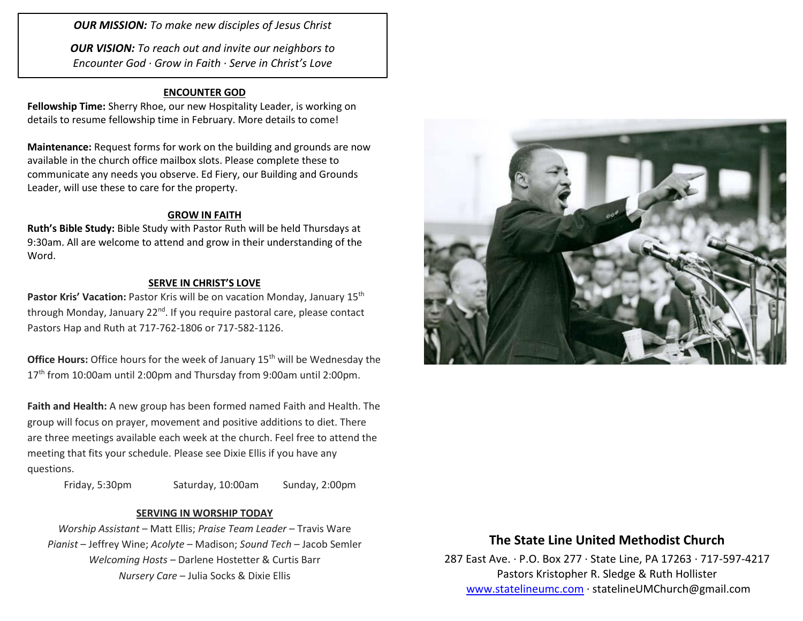*OUR MISSION: To make new disciples of Jesus Christ*

*OUR VISION: To reach out and invite our neighbors to Encounter God · Grow in Faith · Serve in Christ's Love*

### **ENCOUNTER GOD**

**Fellowship Time:** Sherry Rhoe, our new Hospitality Leader, is working on details to resume fellowship time in February. More details to come!

**Maintenance:** Request forms for work on the building and grounds are now available in the church office mailbox slots. Please complete these to communicate any needs you observe. Ed Fiery, our Building and Grounds Leader, will use these to care for the property.

#### **GROW IN FAITH**

**Ruth's Bible Study:** Bible Study with Pastor Ruth will be held Thursdays at 9:30am. All are welcome to attend and grow in their understanding of the Word.

#### **SERVE IN CHRIST'S LOVE**

Pastor Kris' Vacation: Pastor Kris will be on vacation Monday, January 15<sup>th</sup> through Monday, January 22<sup>nd</sup>. If you require pastoral care, please contact Pastors Hap and Ruth at 717-762-1806 or 717-582-1126.

**Office Hours:** Office hours for the week of January 15<sup>th</sup> will be Wednesday the 17<sup>th</sup> from 10:00am until 2:00pm and Thursday from 9:00am until 2:00pm.

**Faith and Health:** A new group has been formed named Faith and Health. The group will focus on prayer, movement and positive additions to diet. There are three meetings available each week at the church. Feel free to attend the meeting that fits your schedule. Please see Dixie Ellis if you have any questions.

Friday, 5:30pm Saturday, 10:00am Sunday, 2:00pm

#### **SERVING IN WORSHIP TODAY**

*Worship Assistant* – Matt Ellis; *Praise Team Leader* – Travis Ware *Pianist* – Jeffrey Wine; *Acolyte* – Madison; *Sound Tech* – Jacob Semler *Welcoming Hosts* – Darlene Hostetter & Curtis Barr *Nursery Care* – Julia Socks & Dixie Ellis



### **The State Line United Methodist Church**

287 East Ave. · P.O. Box 277 · State Line, PA 17263 · 717-597-4217 Pastors Kristopher R. Sledge & Ruth Hollister [www.statelineumc.com](http://www.statelineumc.com/) · statelineUMChurch@gmail.com